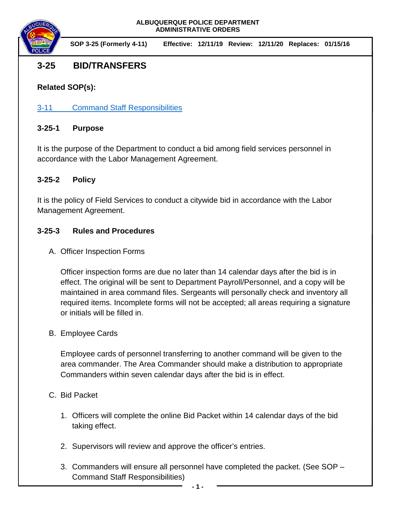

**SOP 3-25 (Formerly 4-11) Effective: 12/11/19 Review: 12/11/20 Replaces: 01/15/16**

# **3-25 BID/TRANSFERS**

**Related SOP(s):**

[3-11 Command Staff Responsibilities](https://powerdms.com/link/IDS/document/?id=143)

## **3-25-1 Purpose**

It is the purpose of the Department to conduct a bid among field services personnel in accordance with the Labor Management Agreement.

# **3-25-2 Policy**

It is the policy of Field Services to conduct a citywide bid in accordance with the Labor Management Agreement.

# **3-25-3 Rules and Procedures**

A. Officer Inspection Forms

Officer inspection forms are due no later than 14 calendar days after the bid is in effect. The original will be sent to Department Payroll/Personnel, and a copy will be maintained in area command files. Sergeants will personally check and inventory all required items. Incomplete forms will not be accepted; all areas requiring a signature or initials will be filled in.

## B. Employee Cards

Employee cards of personnel transferring to another command will be given to the area commander. The Area Commander should make a distribution to appropriate Commanders within seven calendar days after the bid is in effect.

## C. Bid Packet

- 1. Officers will complete the online Bid Packet within 14 calendar days of the bid taking effect.
- 2. Supervisors will review and approve the officer's entries.
- 3. Commanders will ensure all personnel have completed the packet. (See SOP Command Staff Responsibilities)